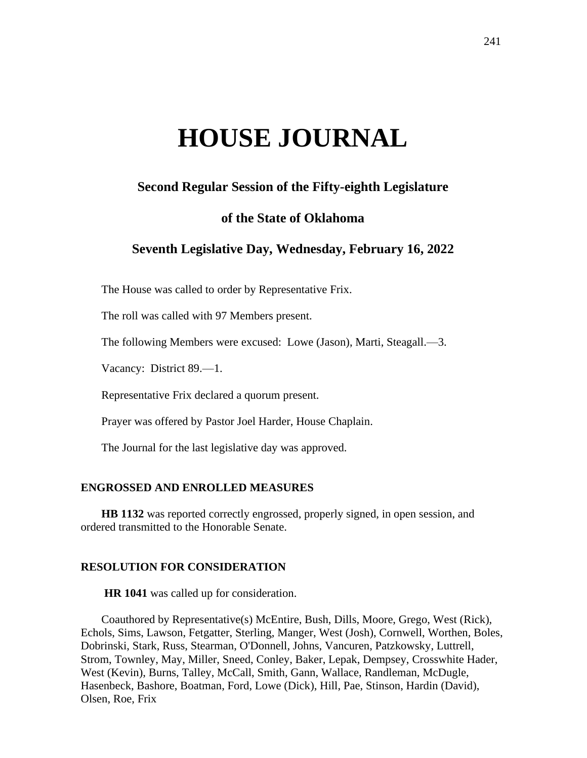# **HOUSE JOURNAL**

# **Second Regular Session of the Fifty-eighth Legislature**

# **of the State of Oklahoma**

# **Seventh Legislative Day, Wednesday, February 16, 2022**

The House was called to order by Representative Frix.

The roll was called with 97 Members present.

The following Members were excused: Lowe (Jason), Marti, Steagall.—3.

Vacancy: District 89.—1.

Representative Frix declared a quorum present.

Prayer was offered by Pastor Joel Harder, House Chaplain.

The Journal for the last legislative day was approved.

## **ENGROSSED AND ENROLLED MEASURES**

**HB 1132** was reported correctly engrossed, properly signed, in open session, and ordered transmitted to the Honorable Senate.

#### **RESOLUTION FOR CONSIDERATION**

**HR 1041** was called up for consideration.

Coauthored by Representative(s) McEntire, Bush, Dills, Moore, Grego, West (Rick), Echols, Sims, Lawson, Fetgatter, Sterling, Manger, West (Josh), Cornwell, Worthen, Boles, Dobrinski, Stark, Russ, Stearman, O'Donnell, Johns, Vancuren, Patzkowsky, Luttrell, Strom, Townley, May, Miller, Sneed, Conley, Baker, Lepak, Dempsey, Crosswhite Hader, West (Kevin), Burns, Talley, McCall, Smith, Gann, Wallace, Randleman, McDugle, Hasenbeck, Bashore, Boatman, Ford, Lowe (Dick), Hill, Pae, Stinson, Hardin (David), Olsen, Roe, Frix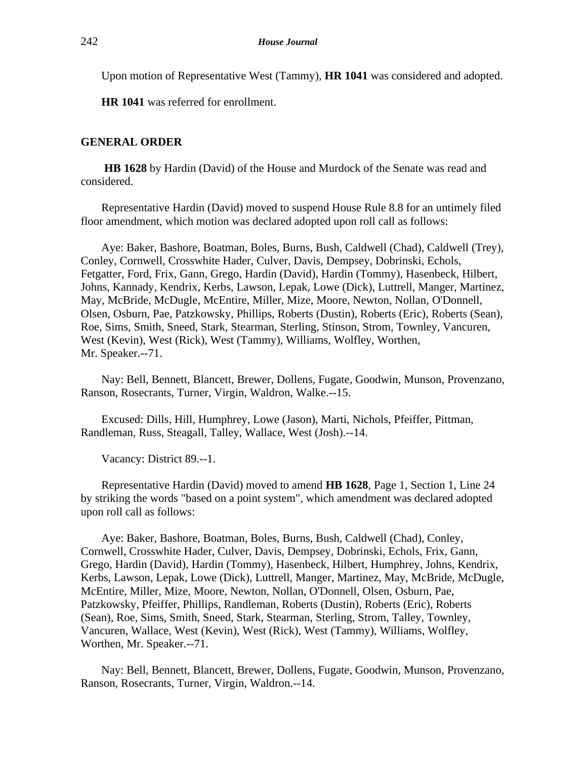Upon motion of Representative West (Tammy), **HR 1041** was considered and adopted.

**HR 1041** was referred for enrollment.

# **GENERAL ORDER**

**HB 1628** by Hardin (David) of the House and Murdock of the Senate was read and considered.

Representative Hardin (David) moved to suspend House Rule 8.8 for an untimely filed floor amendment, which motion was declared adopted upon roll call as follows:

Aye: Baker, Bashore, Boatman, Boles, Burns, Bush, Caldwell (Chad), Caldwell (Trey), Conley, Cornwell, Crosswhite Hader, Culver, Davis, Dempsey, Dobrinski, Echols, Fetgatter, Ford, Frix, Gann, Grego, Hardin (David), Hardin (Tommy), Hasenbeck, Hilbert, Johns, Kannady, Kendrix, Kerbs, Lawson, Lepak, Lowe (Dick), Luttrell, Manger, Martinez, May, McBride, McDugle, McEntire, Miller, Mize, Moore, Newton, Nollan, O'Donnell, Olsen, Osburn, Pae, Patzkowsky, Phillips, Roberts (Dustin), Roberts (Eric), Roberts (Sean), Roe, Sims, Smith, Sneed, Stark, Stearman, Sterling, Stinson, Strom, Townley, Vancuren, West (Kevin), West (Rick), West (Tammy), Williams, Wolfley, Worthen, Mr. Speaker.--71.

Nay: Bell, Bennett, Blancett, Brewer, Dollens, Fugate, Goodwin, Munson, Provenzano, Ranson, Rosecrants, Turner, Virgin, Waldron, Walke.--15.

Excused: Dills, Hill, Humphrey, Lowe (Jason), Marti, Nichols, Pfeiffer, Pittman, Randleman, Russ, Steagall, Talley, Wallace, West (Josh).--14.

Vacancy: District 89.--1.

Representative Hardin (David) moved to amend **HB 1628**, Page 1, Section 1, Line 24 by striking the words "based on a point system", which amendment was declared adopted upon roll call as follows:

Aye: Baker, Bashore, Boatman, Boles, Burns, Bush, Caldwell (Chad), Conley, Cornwell, Crosswhite Hader, Culver, Davis, Dempsey, Dobrinski, Echols, Frix, Gann, Grego, Hardin (David), Hardin (Tommy), Hasenbeck, Hilbert, Humphrey, Johns, Kendrix, Kerbs, Lawson, Lepak, Lowe (Dick), Luttrell, Manger, Martinez, May, McBride, McDugle, McEntire, Miller, Mize, Moore, Newton, Nollan, O'Donnell, Olsen, Osburn, Pae, Patzkowsky, Pfeiffer, Phillips, Randleman, Roberts (Dustin), Roberts (Eric), Roberts (Sean), Roe, Sims, Smith, Sneed, Stark, Stearman, Sterling, Strom, Talley, Townley, Vancuren, Wallace, West (Kevin), West (Rick), West (Tammy), Williams, Wolfley, Worthen, Mr. Speaker.--71.

Nay: Bell, Bennett, Blancett, Brewer, Dollens, Fugate, Goodwin, Munson, Provenzano, Ranson, Rosecrants, Turner, Virgin, Waldron.--14.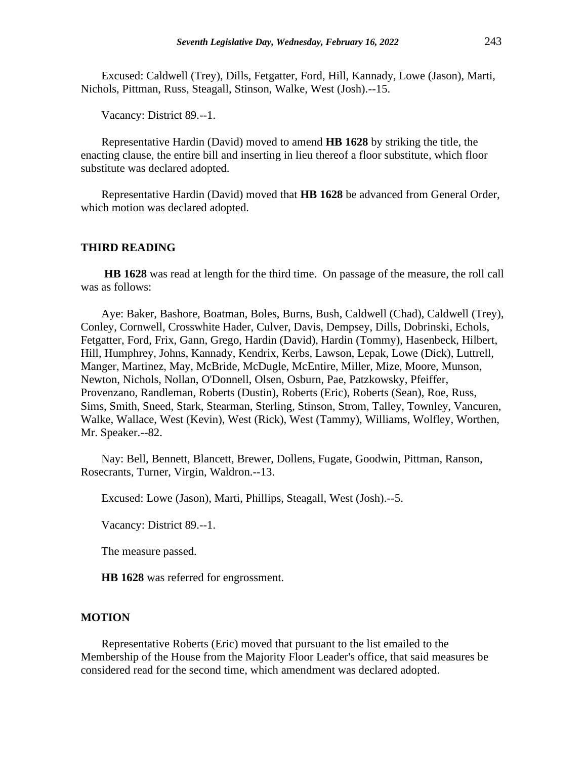Excused: Caldwell (Trey), Dills, Fetgatter, Ford, Hill, Kannady, Lowe (Jason), Marti, Nichols, Pittman, Russ, Steagall, Stinson, Walke, West (Josh).--15.

Vacancy: District 89.--1.

Representative Hardin (David) moved to amend **HB 1628** by striking the title, the enacting clause, the entire bill and inserting in lieu thereof a floor substitute, which floor substitute was declared adopted.

Representative Hardin (David) moved that **HB 1628** be advanced from General Order, which motion was declared adopted.

## **THIRD READING**

**HB 1628** was read at length for the third time. On passage of the measure, the roll call was as follows:

Aye: Baker, Bashore, Boatman, Boles, Burns, Bush, Caldwell (Chad), Caldwell (Trey), Conley, Cornwell, Crosswhite Hader, Culver, Davis, Dempsey, Dills, Dobrinski, Echols, Fetgatter, Ford, Frix, Gann, Grego, Hardin (David), Hardin (Tommy), Hasenbeck, Hilbert, Hill, Humphrey, Johns, Kannady, Kendrix, Kerbs, Lawson, Lepak, Lowe (Dick), Luttrell, Manger, Martinez, May, McBride, McDugle, McEntire, Miller, Mize, Moore, Munson, Newton, Nichols, Nollan, O'Donnell, Olsen, Osburn, Pae, Patzkowsky, Pfeiffer, Provenzano, Randleman, Roberts (Dustin), Roberts (Eric), Roberts (Sean), Roe, Russ, Sims, Smith, Sneed, Stark, Stearman, Sterling, Stinson, Strom, Talley, Townley, Vancuren, Walke, Wallace, West (Kevin), West (Rick), West (Tammy), Williams, Wolfley, Worthen, Mr. Speaker.--82.

Nay: Bell, Bennett, Blancett, Brewer, Dollens, Fugate, Goodwin, Pittman, Ranson, Rosecrants, Turner, Virgin, Waldron.--13.

Excused: Lowe (Jason), Marti, Phillips, Steagall, West (Josh).--5.

Vacancy: District 89.--1.

The measure passed.

**HB 1628** was referred for engrossment.

#### **MOTION**

Representative Roberts (Eric) moved that pursuant to the list emailed to the Membership of the House from the Majority Floor Leader's office, that said measures be considered read for the second time, which amendment was declared adopted.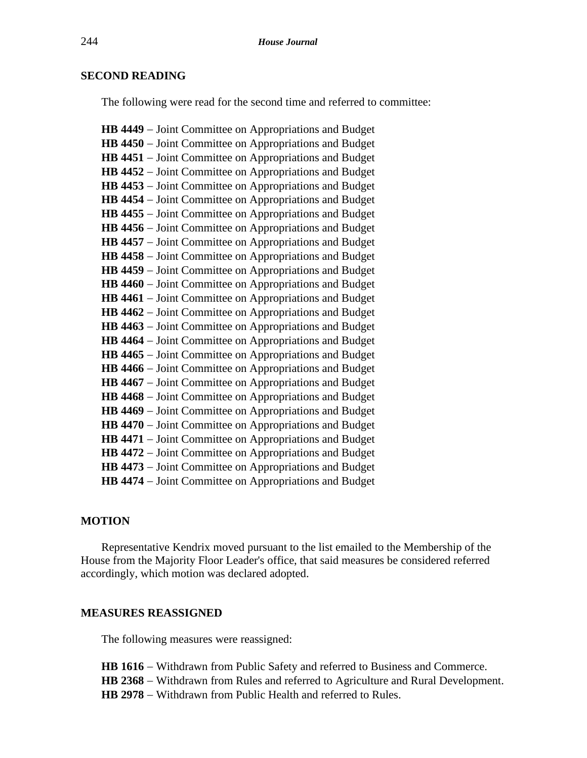# **SECOND READING**

The following were read for the second time and referred to committee:

**HB 4449** − Joint Committee on Appropriations and Budget **HB 4450** − Joint Committee on Appropriations and Budget **HB 4451** − Joint Committee on Appropriations and Budget **HB 4452** − Joint Committee on Appropriations and Budget **HB 4453** − Joint Committee on Appropriations and Budget **HB 4454** − Joint Committee on Appropriations and Budget **HB 4455** − Joint Committee on Appropriations and Budget **HB 4456** − Joint Committee on Appropriations and Budget **HB 4457** − Joint Committee on Appropriations and Budget **HB 4458** − Joint Committee on Appropriations and Budget **HB 4459** − Joint Committee on Appropriations and Budget **HB 4460** − Joint Committee on Appropriations and Budget **HB 4461** − Joint Committee on Appropriations and Budget **HB 4462** − Joint Committee on Appropriations and Budget **HB 4463** − Joint Committee on Appropriations and Budget **HB 4464** − Joint Committee on Appropriations and Budget **HB 4465** − Joint Committee on Appropriations and Budget **HB 4466** − Joint Committee on Appropriations and Budget **HB 4467** − Joint Committee on Appropriations and Budget **HB 4468** − Joint Committee on Appropriations and Budget **HB 4469** − Joint Committee on Appropriations and Budget **HB 4470** − Joint Committee on Appropriations and Budget **HB 4471** − Joint Committee on Appropriations and Budget **HB 4472** − Joint Committee on Appropriations and Budget **HB 4473** − Joint Committee on Appropriations and Budget **HB 4474** − Joint Committee on Appropriations and Budget

# **MOTION**

Representative Kendrix moved pursuant to the list emailed to the Membership of the House from the Majority Floor Leader's office, that said measures be considered referred accordingly, which motion was declared adopted.

# **MEASURES REASSIGNED**

The following measures were reassigned:

**HB 1616** − Withdrawn from Public Safety and referred to Business and Commerce. **HB 2368** − Withdrawn from Rules and referred to Agriculture and Rural Development. **HB 2978** − Withdrawn from Public Health and referred to Rules.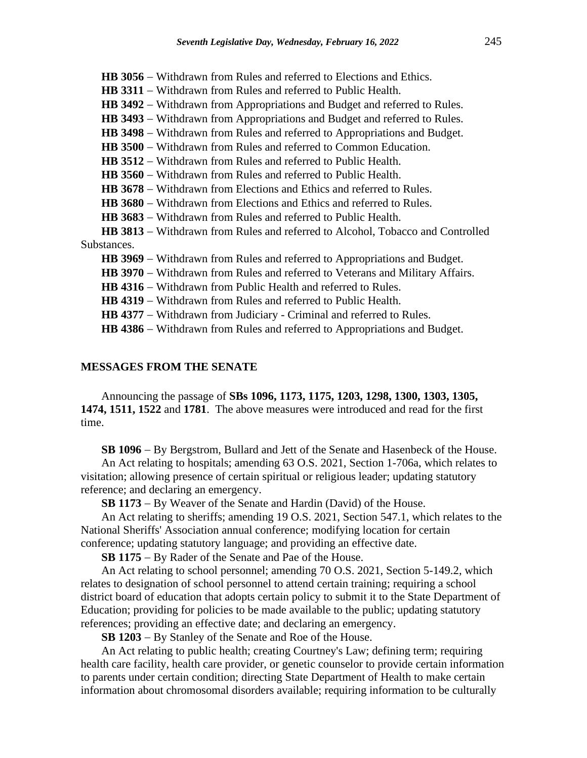**HB 3056** − Withdrawn from Rules and referred to Elections and Ethics. **HB 3311** − Withdrawn from Rules and referred to Public Health. HB 3492 − Withdrawn from Appropriations and Budget and referred to Rules. HB 3493 − Withdrawn from Appropriations and Budget and referred to Rules. **HB 3498** − Withdrawn from Rules and referred to Appropriations and Budget. **HB 3500** − Withdrawn from Rules and referred to Common Education. **HB 3512** − Withdrawn from Rules and referred to Public Health. **HB 3560** − Withdrawn from Rules and referred to Public Health. **HB 3678** − Withdrawn from Elections and Ethics and referred to Rules. **HB 3680** − Withdrawn from Elections and Ethics and referred to Rules. **HB 3683** − Withdrawn from Rules and referred to Public Health. **HB 3813** − Withdrawn from Rules and referred to Alcohol, Tobacco and Controlled Substances. **HB 3969** − Withdrawn from Rules and referred to Appropriations and Budget. **HB 3970** − Withdrawn from Rules and referred to Veterans and Military Affairs. **HB 4316** − Withdrawn from Public Health and referred to Rules. **HB 4319** − Withdrawn from Rules and referred to Public Health. HB 4377 − Withdrawn from Judiciary - Criminal and referred to Rules. HB 4386 − Withdrawn from Rules and referred to Appropriations and Budget.

#### **MESSAGES FROM THE SENATE**

Announcing the passage of **SBs 1096, 1173, 1175, 1203, 1298, 1300, 1303, 1305, 1474, 1511, 1522** and **1781**. The above measures were introduced and read for the first time.

**SB 1096** − By Bergstrom, Bullard and Jett of the Senate and Hasenbeck of the House.

An Act relating to hospitals; amending 63 O.S. 2021, Section 1-706a, which relates to visitation; allowing presence of certain spiritual or religious leader; updating statutory reference; and declaring an emergency.

**SB 1173** − By Weaver of the Senate and Hardin (David) of the House.

An Act relating to sheriffs; amending 19 O.S. 2021, Section 547.1, which relates to the National Sheriffs' Association annual conference; modifying location for certain conference; updating statutory language; and providing an effective date.

**SB 1175** − By Rader of the Senate and Pae of the House.

An Act relating to school personnel; amending 70 O.S. 2021, Section 5-149.2, which relates to designation of school personnel to attend certain training; requiring a school district board of education that adopts certain policy to submit it to the State Department of Education; providing for policies to be made available to the public; updating statutory references; providing an effective date; and declaring an emergency.

**SB 1203** − By Stanley of the Senate and Roe of the House.

An Act relating to public health; creating Courtney's Law; defining term; requiring health care facility, health care provider, or genetic counselor to provide certain information to parents under certain condition; directing State Department of Health to make certain information about chromosomal disorders available; requiring information to be culturally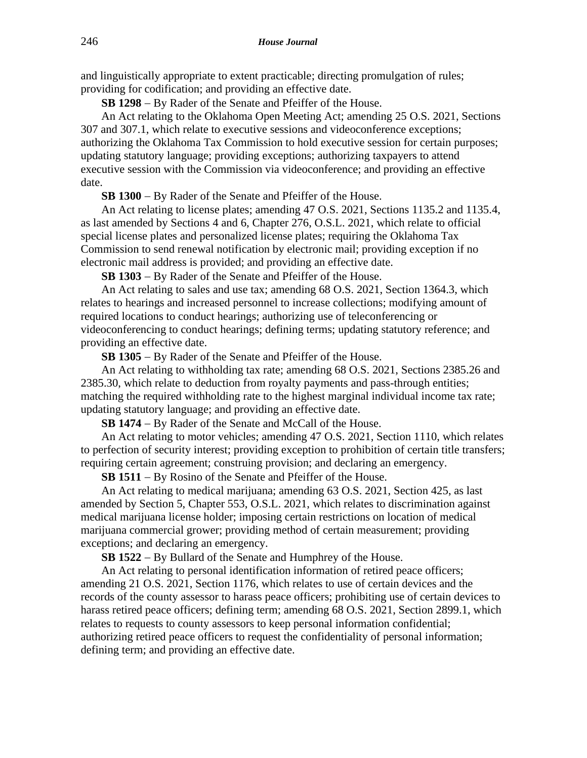and linguistically appropriate to extent practicable; directing promulgation of rules; providing for codification; and providing an effective date.

**SB 1298** − By Rader of the Senate and Pfeiffer of the House.

An Act relating to the Oklahoma Open Meeting Act; amending 25 O.S. 2021, Sections 307 and 307.1, which relate to executive sessions and videoconference exceptions; authorizing the Oklahoma Tax Commission to hold executive session for certain purposes; updating statutory language; providing exceptions; authorizing taxpayers to attend executive session with the Commission via videoconference; and providing an effective date.

**SB 1300** − By Rader of the Senate and Pfeiffer of the House.

An Act relating to license plates; amending 47 O.S. 2021, Sections 1135.2 and 1135.4, as last amended by Sections 4 and 6, Chapter 276, O.S.L. 2021, which relate to official special license plates and personalized license plates; requiring the Oklahoma Tax Commission to send renewal notification by electronic mail; providing exception if no electronic mail address is provided; and providing an effective date.

**SB 1303** − By Rader of the Senate and Pfeiffer of the House.

An Act relating to sales and use tax; amending 68 O.S. 2021, Section 1364.3, which relates to hearings and increased personnel to increase collections; modifying amount of required locations to conduct hearings; authorizing use of teleconferencing or videoconferencing to conduct hearings; defining terms; updating statutory reference; and providing an effective date.

**SB 1305** − By Rader of the Senate and Pfeiffer of the House.

An Act relating to withholding tax rate; amending 68 O.S. 2021, Sections 2385.26 and 2385.30, which relate to deduction from royalty payments and pass-through entities; matching the required withholding rate to the highest marginal individual income tax rate; updating statutory language; and providing an effective date.

**SB 1474** − By Rader of the Senate and McCall of the House.

An Act relating to motor vehicles; amending 47 O.S. 2021, Section 1110, which relates to perfection of security interest; providing exception to prohibition of certain title transfers; requiring certain agreement; construing provision; and declaring an emergency.

**SB 1511** − By Rosino of the Senate and Pfeiffer of the House.

An Act relating to medical marijuana; amending 63 O.S. 2021, Section 425, as last amended by Section 5, Chapter 553, O.S.L. 2021, which relates to discrimination against medical marijuana license holder; imposing certain restrictions on location of medical marijuana commercial grower; providing method of certain measurement; providing exceptions; and declaring an emergency.

**SB 1522** − By Bullard of the Senate and Humphrey of the House.

An Act relating to personal identification information of retired peace officers; amending 21 O.S. 2021, Section 1176, which relates to use of certain devices and the records of the county assessor to harass peace officers; prohibiting use of certain devices to harass retired peace officers; defining term; amending 68 O.S. 2021, Section 2899.1, which relates to requests to county assessors to keep personal information confidential; authorizing retired peace officers to request the confidentiality of personal information; defining term; and providing an effective date.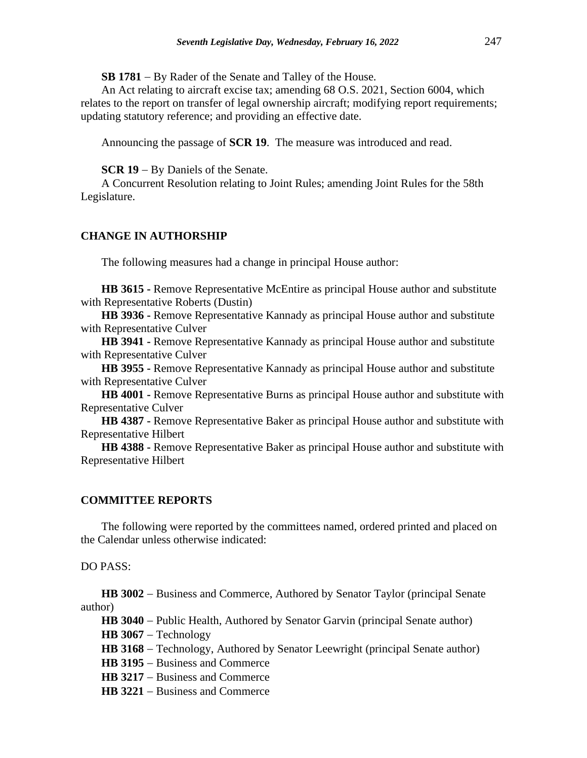**SB 1781** − By Rader of the Senate and Talley of the House.

An Act relating to aircraft excise tax; amending 68 O.S. 2021, Section 6004, which relates to the report on transfer of legal ownership aircraft; modifying report requirements; updating statutory reference; and providing an effective date.

Announcing the passage of **SCR 19**. The measure was introduced and read.

**SCR 19** − By Daniels of the Senate.

A Concurrent Resolution relating to Joint Rules; amending Joint Rules for the 58th Legislature.

# **CHANGE IN AUTHORSHIP**

The following measures had a change in principal House author:

**HB 3615 -** Remove Representative McEntire as principal House author and substitute with Representative Roberts (Dustin)

**HB 3936 -** Remove Representative Kannady as principal House author and substitute with Representative Culver

**HB 3941 -** Remove Representative Kannady as principal House author and substitute with Representative Culver

**HB 3955 -** Remove Representative Kannady as principal House author and substitute with Representative Culver

**HB 4001 -** Remove Representative Burns as principal House author and substitute with Representative Culver

**HB 4387 -** Remove Representative Baker as principal House author and substitute with Representative Hilbert

**HB 4388 -** Remove Representative Baker as principal House author and substitute with Representative Hilbert

#### **COMMITTEE REPORTS**

The following were reported by the committees named, ordered printed and placed on the Calendar unless otherwise indicated:

DO PASS:

**HB 3002** − Business and Commerce, Authored by Senator Taylor (principal Senate author)

**HB 3040** − Public Health, Authored by Senator Garvin (principal Senate author)

**HB 3067** − Technology

**HB 3168** − Technology, Authored by Senator Leewright (principal Senate author)

**HB 3195** − Business and Commerce

**HB 3217** − Business and Commerce

**HB 3221** − Business and Commerce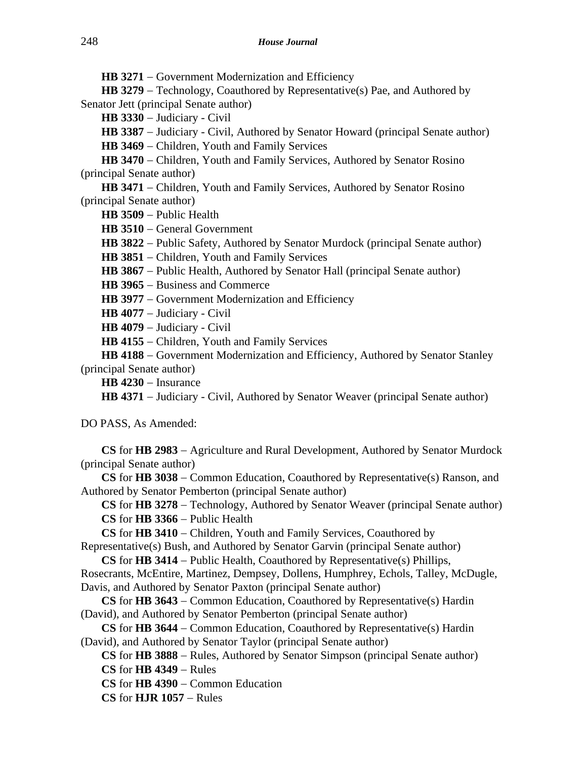HB 3271 − Government Modernization and Efficiency

**HB 3279** − Technology, Coauthored by Representative(s) Pae, and Authored by Senator Jett (principal Senate author)

**HB 3330** − Judiciary - Civil

**HB 3387** − Judiciary - Civil, Authored by Senator Howard (principal Senate author)

**HB 3469** − Children, Youth and Family Services

**HB 3470** − Children, Youth and Family Services, Authored by Senator Rosino (principal Senate author)

HB 3471 – Children, Youth and Family Services, Authored by Senator Rosino (principal Senate author)

**HB 3509** − Public Health

**HB 3510** − General Government

**HB 3822** − Public Safety, Authored by Senator Murdock (principal Senate author)

**HB 3851** − Children, Youth and Family Services

**HB 3867** − Public Health, Authored by Senator Hall (principal Senate author)

**HB 3965** − Business and Commerce

- **HB 3977** − Government Modernization and Efficiency
- **HB 4077** − Judiciary Civil

**HB 4079** − Judiciary - Civil

**HB 4155** − Children, Youth and Family Services

**HB 4188** − Government Modernization and Efficiency, Authored by Senator Stanley (principal Senate author)

**HB 4230** − Insurance

**HB 4371** − Judiciary - Civil, Authored by Senator Weaver (principal Senate author)

DO PASS, As Amended:

**CS** for **HB 2983** − Agriculture and Rural Development, Authored by Senator Murdock (principal Senate author)

**CS** for **HB 3038** − Common Education, Coauthored by Representative(s) Ranson, and Authored by Senator Pemberton (principal Senate author)

**CS** for **HB 3278** − Technology, Authored by Senator Weaver (principal Senate author) **CS** for **HB 3366** − Public Health

**CS** for **HB 3410** − Children, Youth and Family Services, Coauthored by

Representative(s) Bush, and Authored by Senator Garvin (principal Senate author)

**CS** for **HB 3414** − Public Health, Coauthored by Representative(s) Phillips,

Rosecrants, McEntire, Martinez, Dempsey, Dollens, Humphrey, Echols, Talley, McDugle, Davis, and Authored by Senator Paxton (principal Senate author)

**CS** for **HB 3643** − Common Education, Coauthored by Representative(s) Hardin (David), and Authored by Senator Pemberton (principal Senate author)

**CS** for **HB 3644** − Common Education, Coauthored by Representative(s) Hardin (David), and Authored by Senator Taylor (principal Senate author)

**CS** for **HB 3888** − Rules, Authored by Senator Simpson (principal Senate author) **CS** for **HB 4349** − Rules

**CS** for **HB 4390** − Common Education

**CS** for **HJR 1057** − Rules